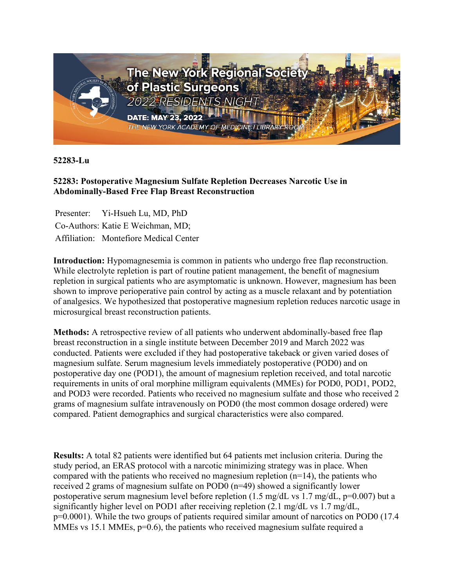

**52283-Lu**

## **52283: Postoperative Magnesium Sulfate Repletion Decreases Narcotic Use in Abdominally-Based Free Flap Breast Reconstruction**

Presenter: Yi-Hsueh Lu, MD, PhD Co-Authors: Katie E Weichman, MD; Affiliation: Montefiore Medical Center

**Introduction:** Hypomagnesemia is common in patients who undergo free flap reconstruction. While electrolyte repletion is part of routine patient management, the benefit of magnesium repletion in surgical patients who are asymptomatic is unknown. However, magnesium has been shown to improve perioperative pain control by acting as a muscle relaxant and by potentiation of analgesics. We hypothesized that postoperative magnesium repletion reduces narcotic usage in microsurgical breast reconstruction patients.

**Methods:** A retrospective review of all patients who underwent abdominally-based free flap breast reconstruction in a single institute between December 2019 and March 2022 was conducted. Patients were excluded if they had postoperative takeback or given varied doses of magnesium sulfate. Serum magnesium levels immediately postoperative (POD0) and on postoperative day one (POD1), the amount of magnesium repletion received, and total narcotic requirements in units of oral morphine milligram equivalents (MMEs) for POD0, POD1, POD2, and POD3 were recorded. Patients who received no magnesium sulfate and those who received 2 grams of magnesium sulfate intravenously on POD0 (the most common dosage ordered) were compared. Patient demographics and surgical characteristics were also compared.

**Results:** A total 82 patients were identified but 64 patients met inclusion criteria. During the study period, an ERAS protocol with a narcotic minimizing strategy was in place. When compared with the patients who received no magnesium repletion  $(n=14)$ , the patients who received 2 grams of magnesium sulfate on POD0 (n=49) showed a significantly lower postoperative serum magnesium level before repletion (1.5 mg/dL vs 1.7 mg/dL,  $p=0.007$ ) but a significantly higher level on POD1 after receiving repletion (2.1 mg/dL vs 1.7 mg/dL, p=0.0001). While the two groups of patients required similar amount of narcotics on POD0 (17.4 MMEs vs 15.1 MMEs,  $p=0.6$ ), the patients who received magnesium sulfate required a